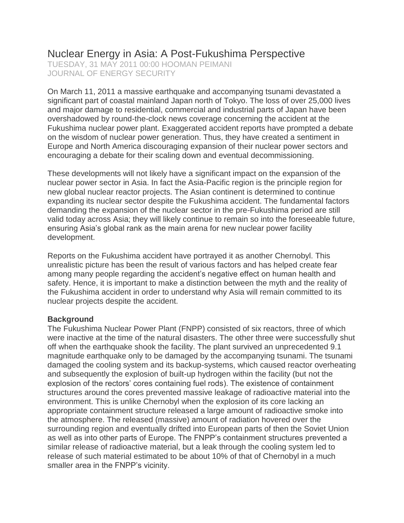# Nuclear Energy in Asia: A Post-Fukushima Perspective

TUESDAY, 31 MAY 2011 00:00 HOOMAN PEIMANI JOURNAL OF ENERGY SECURITY

On March 11, 2011 a massive earthquake and accompanying tsunami devastated a significant part of coastal mainland Japan north of Tokyo. The loss of over 25,000 lives and major damage to residential, commercial and industrial parts of Japan have been overshadowed by round-the-clock news coverage concerning the accident at the Fukushima nuclear power plant. Exaggerated accident reports have prompted a debate on the wisdom of nuclear power generation. Thus, they have created a sentiment in Europe and North America discouraging expansion of their nuclear power sectors and encouraging a debate for their scaling down and eventual decommissioning.

These developments will not likely have a significant impact on the expansion of the nuclear power sector in Asia. In fact the Asia-Pacific region is the principle region for new global nuclear reactor projects. The Asian continent is determined to continue expanding its nuclear sector despite the Fukushima accident. The fundamental factors demanding the expansion of the nuclear sector in the pre-Fukushima period are still valid today across Asia; they will likely continue to remain so into the foreseeable future, ensuring Asia's global rank as the main arena for new nuclear power facility development.

Reports on the Fukushima accident have portrayed it as another Chernobyl. This unrealistic picture has been the result of various factors and has helped create fear among many people regarding the accident's negative effect on human health and safety. Hence, it is important to make a distinction between the myth and the reality of the Fukushima accident in order to understand why Asia will remain committed to its nuclear projects despite the accident.

## **Background**

The Fukushima Nuclear Power Plant (FNPP) consisted of six reactors, three of which were inactive at the time of the natural disasters. The other three were successfully shut off when the earthquake shook the facility. The plant survived an unprecedented 9.1 magnitude earthquake only to be damaged by the accompanying tsunami. The tsunami damaged the cooling system and its backup-systems, which caused reactor overheating and subsequently the explosion of built-up hydrogen within the facility (but not the explosion of the rectors' cores containing fuel rods). The existence of containment structures around the cores prevented massive leakage of radioactive material into the environment. This is unlike Chernobyl when the explosion of its core lacking an appropriate containment structure released a large amount of radioactive smoke into the atmosphere. The released (massive) amount of radiation hovered over the surrounding region and eventually drifted into European parts of then the Soviet Union as well as into other parts of Europe. The FNPP's containment structures prevented a similar release of radioactive material, but a leak through the cooling system led to release of such material estimated to be about 10% of that of Chernobyl in a much smaller area in the FNPP's vicinity.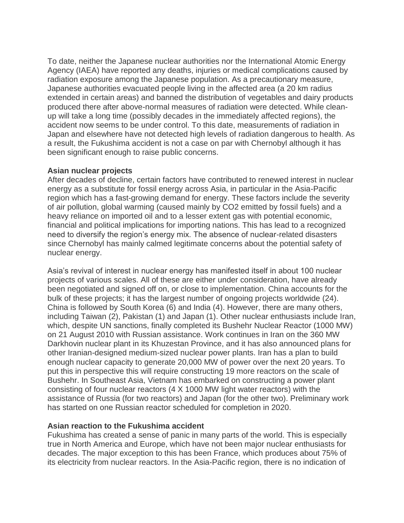To date, neither the Japanese nuclear authorities nor the International Atomic Energy Agency (IAEA) have reported any deaths, injuries or medical complications caused by radiation exposure among the Japanese population. As a precautionary measure, Japanese authorities evacuated people living in the affected area (a 20 km radius extended in certain areas) and banned the distribution of vegetables and dairy products produced there after above-normal measures of radiation were detected. While cleanup will take a long time (possibly decades in the immediately affected regions), the accident now seems to be under control. To this date, measurements of radiation in Japan and elsewhere have not detected high levels of radiation dangerous to health. As a result, the Fukushima accident is not a case on par with Chernobyl although it has been significant enough to raise public concerns.

## **Asian nuclear projects**

After decades of decline, certain factors have contributed to renewed interest in nuclear energy as a substitute for fossil energy across Asia, in particular in the Asia-Pacific region which has a fast-growing demand for energy. These factors include the severity of air pollution, global warming (caused mainly by CO2 emitted by fossil fuels) and a heavy reliance on imported oil and to a lesser extent gas with potential economic, financial and political implications for importing nations. This has lead to a recognized need to diversify the region's energy mix. The absence of nuclear-related disasters since Chernobyl has mainly calmed legitimate concerns about the potential safety of nuclear energy.

Asia's revival of interest in nuclear energy has manifested itself in about 100 nuclear projects of various scales. All of these are either under consideration, have already been negotiated and signed off on, or close to implementation. China accounts for the bulk of these projects; it has the largest number of ongoing projects worldwide (24). China is followed by South Korea (6) and India (4). However, there are many others, including Taiwan (2), Pakistan (1) and Japan (1). Other nuclear enthusiasts include Iran, which, despite UN sanctions, finally completed its Bushehr Nuclear Reactor (1000 MW) on 21 August 2010 with Russian assistance. Work continues in Iran on the 360 MW Darkhovin nuclear plant in its Khuzestan Province, and it has also announced plans for other Iranian-designed medium-sized nuclear power plants. Iran has a plan to build enough nuclear capacity to generate 20,000 MW of power over the next 20 years. To put this in perspective this will require constructing 19 more reactors on the scale of Bushehr. In Southeast Asia, Vietnam has embarked on constructing a power plant consisting of four nuclear reactors (4 X 1000 MW light water reactors) with the assistance of Russia (for two reactors) and Japan (for the other two). Preliminary work has started on one Russian reactor scheduled for completion in 2020.

## **Asian reaction to the Fukushima accident**

Fukushima has created a sense of panic in many parts of the world. This is especially true in North America and Europe, which have not been major nuclear enthusiasts for decades. The major exception to this has been France, which produces about 75% of its electricity from nuclear reactors. In the Asia-Pacific region, there is no indication of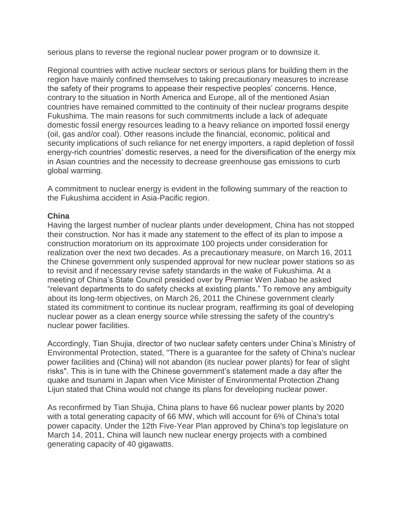serious plans to reverse the regional nuclear power program or to downsize it.

Regional countries with active nuclear sectors or serious plans for building them in the region have mainly confined themselves to taking precautionary measures to increase the safety of their programs to appease their respective peoples' concerns. Hence, contrary to the situation in North America and Europe, all of the mentioned Asian countries have remained committed to the continuity of their nuclear programs despite Fukushima. The main reasons for such commitments include a lack of adequate domestic fossil energy resources leading to a heavy reliance on imported fossil energy (oil, gas and/or coal). Other reasons include the financial, economic, political and security implications of such reliance for net energy importers, a rapid depletion of fossil energy-rich countries' domestic reserves, a need for the diversification of the energy mix in Asian countries and the necessity to decrease greenhouse gas emissions to curb global warming.

A commitment to nuclear energy is evident in the following summary of the reaction to the Fukushima accident in Asia-Pacific region.

## **China**

Having the largest number of nuclear plants under development, China has not stopped their construction. Nor has it made any statement to the effect of its plan to impose a construction moratorium on its approximate 100 projects under consideration for realization over the next two decades. As a precautionary measure, on March 16, 2011 the Chinese government only suspended approval for new nuclear power stations so as to revisit and if necessary revise safety standards in the wake of Fukushima. At a meeting of China's State Council presided over by Premier Wen Jiabao he asked "relevant departments to do safety checks at existing plants." To remove any ambiguity about its long-term objectives, on March 26, 2011 the Chinese government clearly stated its commitment to continue its nuclear program, reaffirming its goal of developing nuclear power as a clean energy source while stressing the safety of the country's nuclear power facilities.

Accordingly, Tian Shujia, director of two nuclear safety centers under China's Ministry of Environmental Protection, stated, "There is a guarantee for the safety of China's nuclear power facilities and (China) will not abandon (its nuclear power plants) for fear of slight risks". This is in tune with the Chinese government's statement made a day after the quake and tsunami in Japan when Vice Minister of Environmental Protection Zhang Lijun stated that China would not change its plans for developing nuclear power.

As reconfirmed by Tian Shujia, China plans to have 66 nuclear power plants by 2020 with a total generating capacity of 66 MW, which will account for 6% of China's total power capacity. Under the 12th Five-Year Plan approved by China's top legislature on March 14, 2011, China will launch new nuclear energy projects with a combined generating capacity of 40 gigawatts.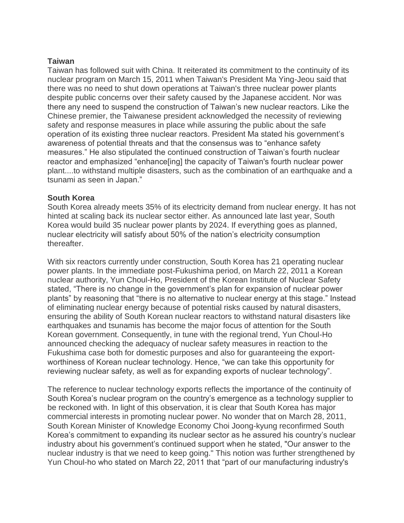## **Taiwan**

Taiwan has followed suit with China. It reiterated its commitment to the continuity of its nuclear program on March 15, 2011 when Taiwan's President Ma Ying-Jeou said that there was no need to shut down operations at Taiwan's three nuclear power plants despite public concerns over their safety caused by the Japanese accident. Nor was there any need to suspend the construction of Taiwan's new nuclear reactors. Like the Chinese premier, the Taiwanese president acknowledged the necessity of reviewing safety and response measures in place while assuring the public about the safe operation of its existing three nuclear reactors. President Ma stated his government's awareness of potential threats and that the consensus was to "enhance safety measures." He also stipulated the continued construction of Taiwan's fourth nuclear reactor and emphasized "enhance[ing] the capacity of Taiwan's fourth nuclear power plant....to withstand multiple disasters, such as the combination of an earthquake and a tsunami as seen in Japan."

#### **South Korea**

South Korea already meets 35% of its electricity demand from nuclear energy. It has not hinted at scaling back its nuclear sector either. As announced late last year, South Korea would build 35 nuclear power plants by 2024. If everything goes as planned, nuclear electricity will satisfy about 50% of the nation's electricity consumption thereafter.

With six reactors currently under construction, South Korea has 21 operating nuclear power plants. In the immediate post-Fukushima period, on March 22, 2011 a Korean nuclear authority, Yun Choul-Ho, President of the Korean Institute of Nuclear Safety stated, "There is no change in the government's plan for expansion of nuclear power plants" by reasoning that "there is no alternative to nuclear energy at this stage." Instead of eliminating nuclear energy because of potential risks caused by natural disasters, ensuring the ability of South Korean nuclear reactors to withstand natural disasters like earthquakes and tsunamis has become the major focus of attention for the South Korean government. Consequently, in tune with the regional trend, Yun Choul-Ho announced checking the adequacy of nuclear safety measures in reaction to the Fukushima case both for domestic purposes and also for guaranteeing the exportworthiness of Korean nuclear technology. Hence, "we can take this opportunity for reviewing nuclear safety, as well as for expanding exports of nuclear technology".

The reference to nuclear technology exports reflects the importance of the continuity of South Korea's nuclear program on the country's emergence as a technology supplier to be reckoned with. In light of this observation, it is clear that South Korea has major commercial interests in promoting nuclear power. No wonder that on March 28, 2011, South Korean Minister of Knowledge Economy Choi Joong-kyung reconfirmed South Korea's commitment to expanding its nuclear sector as he assured his country's nuclear industry about his government's continued support when he stated, "Our answer to the nuclear industry is that we need to keep going." This notion was further strengthened by Yun Choul-ho who stated on March 22, 2011 that "part of our manufacturing industry's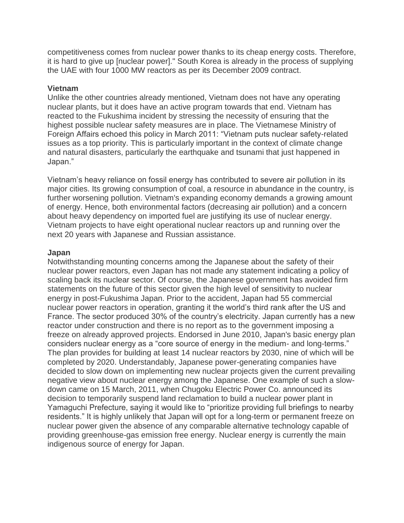competitiveness comes from nuclear power thanks to its cheap energy costs. Therefore, it is hard to give up [nuclear power]." South Korea is already in the process of supplying the UAE with four 1000 MW reactors as per its December 2009 contract.

#### **Vietnam**

Unlike the other countries already mentioned, Vietnam does not have any operating nuclear plants, but it does have an active program towards that end. Vietnam has reacted to the Fukushima incident by stressing the necessity of ensuring that the highest possible nuclear safety measures are in place. The Vietnamese Ministry of Foreign Affairs echoed this policy in March 2011: "Vietnam puts nuclear safety-related issues as a top priority. This is particularly important in the context of climate change and natural disasters, particularly the earthquake and tsunami that just happened in Japan."

Vietnam's heavy reliance on fossil energy has contributed to severe air pollution in its major cities. Its growing consumption of coal, a resource in abundance in the country, is further worsening pollution. Vietnam's expanding economy demands a growing amount of energy. Hence, both environmental factors (decreasing air pollution) and a concern about heavy dependency on imported fuel are justifying its use of nuclear energy. Vietnam projects to have eight operational nuclear reactors up and running over the next 20 years with Japanese and Russian assistance.

#### **Japan**

Notwithstanding mounting concerns among the Japanese about the safety of their nuclear power reactors, even Japan has not made any statement indicating a policy of scaling back its nuclear sector. Of course, the Japanese government has avoided firm statements on the future of this sector given the high level of sensitivity to nuclear energy in post-Fukushima Japan. Prior to the accident, Japan had 55 commercial nuclear power reactors in operation, granting it the world's third rank after the US and France. The sector produced 30% of the country's electricity. Japan currently has a new reactor under construction and there is no report as to the government imposing a freeze on already approved projects. Endorsed in June 2010, Japan's basic energy plan considers nuclear energy as a "core source of energy in the medium- and long-terms." The plan provides for building at least 14 nuclear reactors by 2030, nine of which will be completed by 2020. Understandably, Japanese power-generating companies have decided to slow down on implementing new nuclear projects given the current prevailing negative view about nuclear energy among the Japanese. One example of such a slowdown came on 15 March, 2011, when Chugoku Electric Power Co. announced its decision to temporarily suspend land reclamation to build a nuclear power plant in Yamaguchi Prefecture, saying it would like to "prioritize providing full briefings to nearby residents." It is highly unlikely that Japan will opt for a long-term or permanent freeze on nuclear power given the absence of any comparable alternative technology capable of providing greenhouse-gas emission free energy. Nuclear energy is currently the main indigenous source of energy for Japan.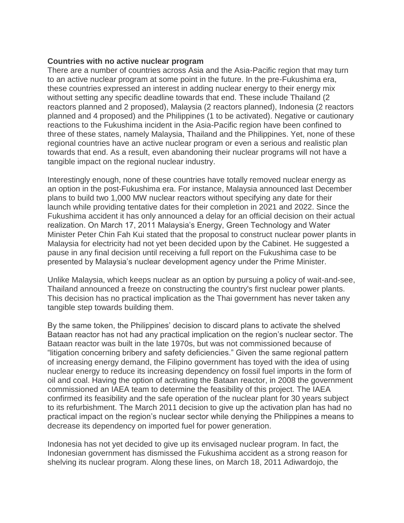## **Countries with no active nuclear program**

There are a number of countries across Asia and the Asia-Pacific region that may turn to an active nuclear program at some point in the future. In the pre-Fukushima era, these countries expressed an interest in adding nuclear energy to their energy mix without setting any specific deadline towards that end. These include Thailand (2) reactors planned and 2 proposed), Malaysia (2 reactors planned), Indonesia (2 reactors planned and 4 proposed) and the Philippines (1 to be activated). Negative or cautionary reactions to the Fukushima incident in the Asia-Pacific region have been confined to three of these states, namely Malaysia, Thailand and the Philippines. Yet, none of these regional countries have an active nuclear program or even a serious and realistic plan towards that end. As a result, even abandoning their nuclear programs will not have a tangible impact on the regional nuclear industry.

Interestingly enough, none of these countries have totally removed nuclear energy as an option in the post-Fukushima era. For instance, Malaysia announced last December plans to build two 1,000 MW nuclear reactors without specifying any date for their launch while providing tentative dates for their completion in 2021 and 2022. Since the Fukushima accident it has only announced a delay for an official decision on their actual realization. On March 17, 2011 Malaysia's Energy, Green Technology and Water Minister Peter Chin Fah Kui stated that the proposal to construct nuclear power plants in Malaysia for electricity had not yet been decided upon by the Cabinet. He suggested a pause in any final decision until receiving a full report on the Fukushima case to be presented by Malaysia's nuclear development agency under the Prime Minister.

Unlike Malaysia, which keeps nuclear as an option by pursuing a policy of wait-and-see, Thailand announced a freeze on constructing the country's first nuclear power plants. This decision has no practical implication as the Thai government has never taken any tangible step towards building them.

By the same token, the Philippines' decision to discard plans to activate the shelved Bataan reactor has not had any practical implication on the region's nuclear sector. The Bataan reactor was built in the late 1970s, but was not commissioned because of "litigation concerning bribery and safety deficiencies." Given the same regional pattern of increasing energy demand, the Filipino government has toyed with the idea of using nuclear energy to reduce its increasing dependency on fossil fuel imports in the form of oil and coal. Having the option of activating the Bataan reactor, in 2008 the government commissioned an IAEA team to determine the feasibility of this project. The IAEA confirmed its feasibility and the safe operation of the nuclear plant for 30 years subject to its refurbishment. The March 2011 decision to give up the activation plan has had no practical impact on the region's nuclear sector while denying the Philippines a means to decrease its dependency on imported fuel for power generation.

Indonesia has not yet decided to give up its envisaged nuclear program. In fact, the Indonesian government has dismissed the Fukushima accident as a strong reason for shelving its nuclear program. Along these lines, on March 18, 2011 Adiwardojo, the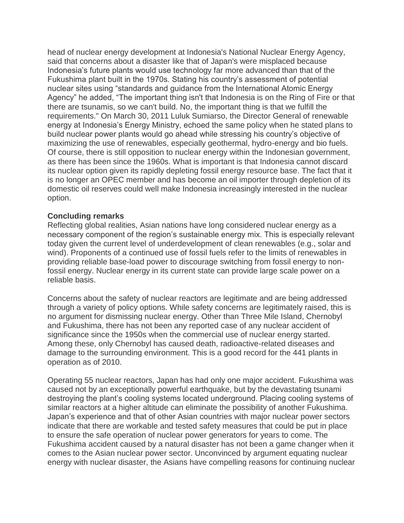head of nuclear energy development at Indonesia's National Nuclear Energy Agency, said that concerns about a disaster like that of Japan's were misplaced because Indonesia's future plants would use technology far more advanced than that of the Fukushima plant built in the 1970s. Stating his country's assessment of potential nuclear sites using "standards and guidance from the International Atomic Energy Agency" he added, "The important thing isn't that Indonesia is on the Ring of Fire or that there are tsunamis, so we can't build. No, the important thing is that we fulfill the requirements." On March 30, 2011 Luluk Sumiarso, the Director General of renewable energy at Indonesia's Energy Ministry, echoed the same policy when he stated plans to build nuclear power plants would go ahead while stressing his country's objective of maximizing the use of renewables, especially geothermal, hydro-energy and bio fuels. Of course, there is still opposition to nuclear energy within the Indonesian government, as there has been since the 1960s. What is important is that Indonesia cannot discard its nuclear option given its rapidly depleting fossil energy resource base. The fact that it is no longer an OPEC member and has become an oil importer through depletion of its domestic oil reserves could well make Indonesia increasingly interested in the nuclear option.

#### **Concluding remarks**

Reflecting global realities, Asian nations have long considered nuclear energy as a necessary component of the region's sustainable energy mix. This is especially relevant today given the current level of underdevelopment of clean renewables (e.g., solar and wind). Proponents of a continued use of fossil fuels refer to the limits of renewables in providing reliable base-load power to discourage switching from fossil energy to nonfossil energy. Nuclear energy in its current state can provide large scale power on a reliable basis.

Concerns about the safety of nuclear reactors are legitimate and are being addressed through a variety of policy options. While safety concerns are legitimately raised, this is no argument for dismissing nuclear energy. Other than Three Mile Island, Chernobyl and Fukushima, there has not been any reported case of any nuclear accident of significance since the 1950s when the commercial use of nuclear energy started. Among these, only Chernobyl has caused death, radioactive-related diseases and damage to the surrounding environment. This is a good record for the 441 plants in operation as of 2010.

Operating 55 nuclear reactors, Japan has had only one major accident. Fukushima was caused not by an exceptionally powerful earthquake, but by the devastating tsunami destroying the plant's cooling systems located underground. Placing cooling systems of similar reactors at a higher altitude can eliminate the possibility of another Fukushima. Japan's experience and that of other Asian countries with major nuclear power sectors indicate that there are workable and tested safety measures that could be put in place to ensure the safe operation of nuclear power generators for years to come. The Fukushima accident caused by a natural disaster has not been a game changer when it comes to the Asian nuclear power sector. Unconvinced by argument equating nuclear energy with nuclear disaster, the Asians have compelling reasons for continuing nuclear